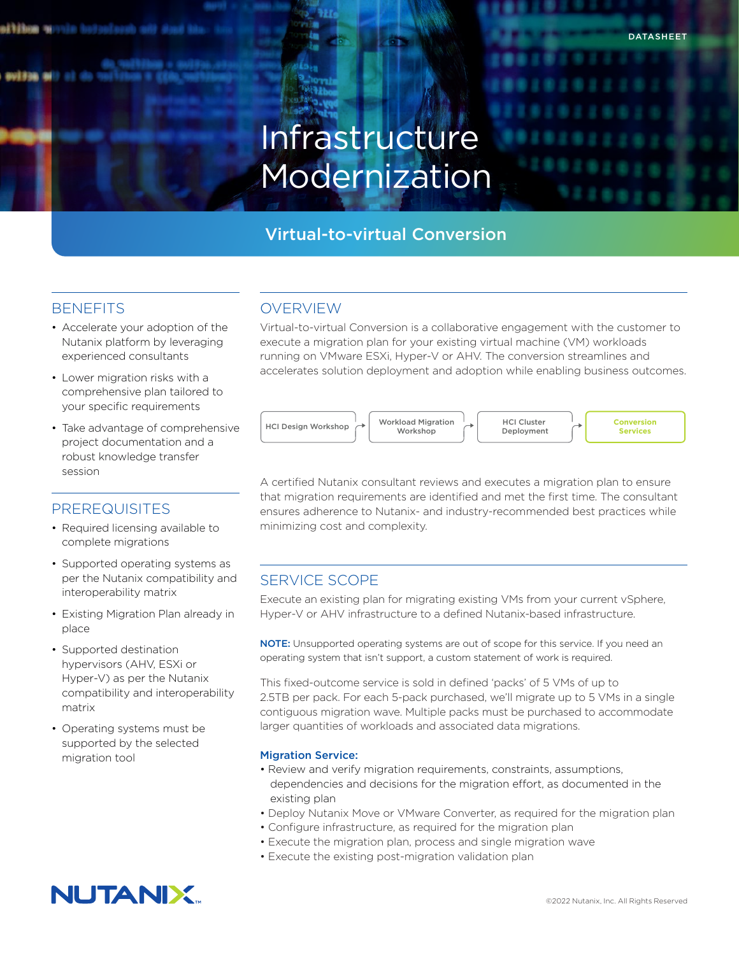# Infrastructure Modernization

# Virtual-to-virtual Conversion

### **BENEFITS**

- Accelerate your adoption of the Nutanix platform by leveraging experienced consultants
- Lower migration risks with a comprehensive plan tailored to your specific requirements
- Take advantage of comprehensive project documentation and a robust knowledge transfer session

#### PREREQUISITES

- Required licensing available to complete migrations
- Supported operating systems as per the Nutanix compatibility and interoperability matrix
- Existing Migration Plan already in place
- Supported destination hypervisors (AHV, ESXi or Hyper-V) as per the Nutanix compatibility and interoperability matrix
- Operating systems must be supported by the selected migration tool

# OVERVIEW

Virtual-to-virtual Conversion is a collaborative engagement with the customer to execute a migration plan for your existing virtual machine (VM) workloads running on VMware ESXi, Hyper-V or AHV. The conversion streamlines and accelerates solution deployment and adoption while enabling business outcomes.



A certified Nutanix consultant reviews and executes a migration plan to ensure that migration requirements are identified and met the first time. The consultant ensures adherence to Nutanix- and industry-recommended best practices while minimizing cost and complexity.

# SERVICE SCOPE

Execute an existing plan for migrating existing VMs from your current vSphere, Hyper-V or AHV infrastructure to a defined Nutanix-based infrastructure.

NOTE: Unsupported operating systems are out of scope for this service. If you need an operating system that isn't support, a custom statement of work is required.

This fixed-outcome service is sold in defined 'packs' of 5 VMs of up to 2.5TB per pack. For each 5-pack purchased, we'll migrate up to 5 VMs in a single contiguous migration wave. Multiple packs must be purchased to accommodate larger quantities of workloads and associated data migrations.

#### Migration Service:

- Review and verify migration requirements, constraints, assumptions, dependencies and decisions for the migration effort, as documented in the existing plan
- Deploy Nutanix Move or VMware Converter, as required for the migration plan
- Configure infrastructure, as required for the migration plan
- Execute the migration plan, process and single migration wave
- Execute the existing post-migration validation plan

# **NUTANIX**